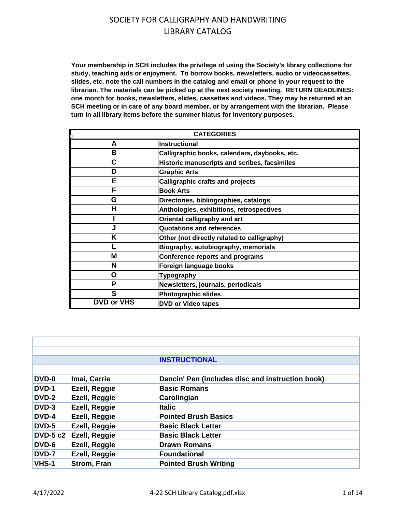**Your membership in SCH includes the privilege of using the Society's library collections for study, teaching aids or enjoyment. To borrow books, newsletters, audio or videocassettes, slides, etc. note the call numbers in the catalog and email or phone in your request to the librarian. The materials can be picked up at the next society meeting. RETURN DEADLINES: one month for books, newsletters, slides, cassettes and videos. They may be returned at an SCH meeting or in care of any board member, or by arrangement with the librarian. Please turn in all library items before the summer hiatus for inventory purposes.**

| <b>CATEGORIES</b> |                                               |  |
|-------------------|-----------------------------------------------|--|
| A                 | <b>Instructional</b>                          |  |
| в                 | Calligraphic books, calendars, daybooks, etc. |  |
| C                 | Historic manuscripts and scribes, facsimiles  |  |
| D                 | <b>Graphic Arts</b>                           |  |
| Е                 | <b>Calligraphic crafts and projects</b>       |  |
| F                 | <b>Book Arts</b>                              |  |
| G                 | Directories, bibliographies, catalogs         |  |
| н                 | Anthologies, exhibitions, retrospectives      |  |
|                   | Oriental calligraphy and art                  |  |
|                   | <b>Quotations and references</b>              |  |
| Κ                 | Other (not directly related to calligraphy)   |  |
|                   | Biography, autobiography, memorials           |  |
| Μ                 | <b>Conference reports and programs</b>        |  |
| N                 | Foreign language books                        |  |
| O                 | <b>Typography</b>                             |  |
| P                 | Newsletters, journals, periodicals            |  |
| S                 | <b>Photographic slides</b>                    |  |
| <b>DVD or VHS</b> | <b>DVD or Video tapes</b>                     |  |

|                 |                    | <b>INSTRUCTIONAL</b>                             |
|-----------------|--------------------|--------------------------------------------------|
|                 |                    |                                                  |
| <b>DVD-0</b>    | Imai, Carrie       | Dancin' Pen (includes disc and instruction book) |
| DVD-1           | Ezell, Reggie      | <b>Basic Romans</b>                              |
| DVD-2           | Ezell, Reggie      | Carolingian                                      |
| DVD-3           | Ezell, Reggie      | <b>Italic</b>                                    |
| DVD-4           | Ezell, Reggie      | <b>Pointed Brush Basics</b>                      |
| DVD-5           | Ezell, Reggie      | <b>Basic Black Letter</b>                        |
| <b>DVD-5 c2</b> | Ezell, Reggie      | <b>Basic Black Letter</b>                        |
| DVD-6           | Ezell, Reggie      | <b>Drawn Romans</b>                              |
| DVD-7           | Ezell, Reggie      | <b>Foundational</b>                              |
| VHS-1           | <b>Strom, Fran</b> | <b>Pointed Brush Writing</b>                     |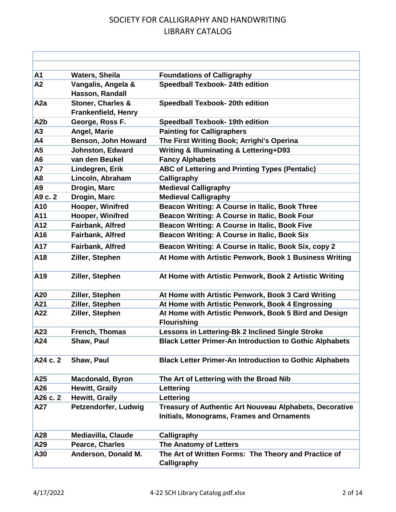| A1               | <b>Waters, Sheila</b>                           | <b>Foundations of Calligraphy</b>                                                                    |
|------------------|-------------------------------------------------|------------------------------------------------------------------------------------------------------|
| A2               | Vangalis, Angela &<br>Hasson, Randall           | <b>Speedball Texbook- 24th edition</b>                                                               |
| A <sub>2</sub> a | Stoner, Charles &<br><b>Frankenfield, Henry</b> | Speedball Texbook- 20th edition                                                                      |
| A <sub>2</sub> b | George, Ross F.                                 | <b>Speedball Texbook- 19th edition</b>                                                               |
| A3               | Angel, Marie                                    | <b>Painting for Calligraphers</b>                                                                    |
| A4               | <b>Benson, John Howard</b>                      | The First Writing Book; Arrighi's Operina                                                            |
| A <sub>5</sub>   | <b>Johnston, Edward</b>                         | <b>Writing &amp; Illuminating &amp; Lettering+D93</b>                                                |
| A <sub>6</sub>   | van den Beukel                                  | <b>Fancy Alphabets</b>                                                                               |
| <b>A7</b>        | Lindegren, Erik                                 | <b>ABC of Lettering and Printing Types (Pentalic)</b>                                                |
| A <sub>8</sub>   | Lincoln, Abraham                                | Calligraphy                                                                                          |
| A <sub>9</sub>   | Drogin, Marc                                    | <b>Medieval Calligraphy</b>                                                                          |
| A9 c. 2          | Drogin, Marc                                    | <b>Medieval Calligraphy</b>                                                                          |
| A10              | Hooper, Winifred                                | Beacon Writing: A Course in Italic, Book Three                                                       |
| A11              | Hooper, Winifred                                | Beacon Writing: A Course in Italic, Book Four                                                        |
| A12              | Fairbank, Alfred                                | Beacon Writing: A Course in Italic, Book Five                                                        |
| A16              | Fairbank, Alfred                                | Beacon Writing: A Course in Italic, Book Six                                                         |
| A17              | Fairbank, Alfred                                | Beacon Writing: A Course in Italic, Book Six, copy 2                                                 |
| A18              | Ziller, Stephen                                 | At Home with Artistic Penwork, Book 1 Business Writing                                               |
| A <sub>19</sub>  | Ziller, Stephen                                 | At Home with Artistic Penwork, Book 2 Artistic Writing                                               |
| A20              | Ziller, Stephen                                 | At Home with Artistic Penwork, Book 3 Card Writing                                                   |
| A21              | Ziller, Stephen                                 | At Home with Artistic Penwork, Book 4 Engrossing                                                     |
| A22              | Ziller, Stephen                                 | At Home with Artistic Penwork, Book 5 Bird and Design<br><b>Flourishing</b>                          |
| A23              | French, Thomas                                  | Lessons in Lettering-Bk 2 Inclined Single Stroke                                                     |
| A24              | Shaw, Paul                                      | <b>Black Letter Primer-An Introduction to Gothic Alphabets</b>                                       |
| A24 c. 2         | Shaw, Paul                                      | <b>Black Letter Primer-An Introduction to Gothic Alphabets</b>                                       |
| A25              | <b>Macdonald, Byron</b>                         | The Art of Lettering with the Broad Nib                                                              |
| A26              | <b>Hewitt, Graily</b>                           | Lettering                                                                                            |
| A26 c. 2         | <b>Hewitt, Graily</b>                           | Lettering                                                                                            |
| A27              | Petzendorfer, Ludwig                            | Treasury of Authentic Art Nouveau Alphabets, Decorative<br>Initials, Monograms, Frames and Ornaments |
| A28              | <b>Mediavilla, Claude</b>                       | Calligraphy                                                                                          |
| A29              | Pearce, Charles                                 | The Anatomy of Letters                                                                               |
| A30              | Anderson, Donald M.                             | The Art of Written Forms: The Theory and Practice of<br>Calligraphy                                  |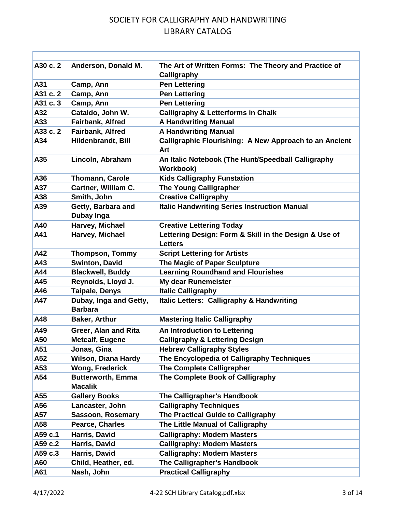| A30 c. 2 | Anderson, Donald M.                        | The Art of Written Forms: The Theory and Practice of<br>Calligraphy     |
|----------|--------------------------------------------|-------------------------------------------------------------------------|
| A31      | Camp, Ann                                  | <b>Pen Lettering</b>                                                    |
| A31 c. 2 | Camp, Ann                                  | <b>Pen Lettering</b>                                                    |
| A31 c. 3 | Camp, Ann                                  | <b>Pen Lettering</b>                                                    |
| A32      | Cataldo, John W.                           | <b>Calligraphy &amp; Letterforms in Chalk</b>                           |
| A33      | Fairbank, Alfred                           | <b>A Handwriting Manual</b>                                             |
| A33 c. 2 | Fairbank, Alfred                           | <b>A Handwriting Manual</b>                                             |
| A34      | Hildenbrandt, Bill                         | Calligraphic Flourishing: A New Approach to an Ancient<br>Art           |
| A35      | Lincoln, Abraham                           | An Italic Notebook (The Hunt/Speedball Calligraphy<br>Workbook)         |
| A36      | Thomann, Carole                            | <b>Kids Calligraphy Funstation</b>                                      |
| A37      | Cartner, William C.                        | <b>The Young Calligrapher</b>                                           |
| A38      | Smith, John                                | <b>Creative Calligraphy</b>                                             |
| A39      | Getty, Barbara and<br>Dubay Inga           | <b>Italic Handwriting Series Instruction Manual</b>                     |
| A40      | Harvey, Michael                            | <b>Creative Lettering Today</b>                                         |
| A41      | Harvey, Michael                            | Lettering Design: Form & Skill in the Design & Use of<br><b>Letters</b> |
| A42      | <b>Thompson, Tommy</b>                     | <b>Script Lettering for Artists</b>                                     |
| A43      | <b>Swinton, David</b>                      | The Magic of Paper Sculpture                                            |
| A44      | <b>Blackwell, Buddy</b>                    | <b>Learning Roundhand and Flourishes</b>                                |
| A45      | Reynolds, Lloyd J.                         | My dear Runemeister                                                     |
| A46      | <b>Taipale, Denys</b>                      | <b>Italic Calligraphy</b>                                               |
| A47      | Dubay, Inga and Getty,<br><b>Barbara</b>   | Italic Letters: Calligraphy & Handwriting                               |
| A48      | Baker, Arthur                              | <b>Mastering Italic Calligraphy</b>                                     |
| A49      | Greer, Alan and Rita                       | An Introduction to Lettering                                            |
| A50      | <b>Metcalf, Eugene</b>                     | <b>Calligraphy &amp; Lettering Design</b>                               |
| A51      | Jonas, Gina                                | <b>Hebrew Calligraphy Styles</b>                                        |
| A52      | <b>Wilson, Diana Hardy</b>                 | The Encyclopedia of Calligraphy Techniques                              |
| A53      | <b>Wong, Frederick</b>                     | <b>The Complete Calligrapher</b>                                        |
| A54      | <b>Butterworth, Emma</b><br><b>Macalik</b> | The Complete Book of Calligraphy                                        |
| A55      | <b>Gallery Books</b>                       | The Calligrapher's Handbook                                             |
| A56      | Lancaster, John                            | <b>Calligraphy Techniques</b>                                           |
| A57      | <b>Sassoon, Rosemary</b>                   | The Practical Guide to Calligraphy                                      |
| A58      | Pearce, Charles                            | The Little Manual of Calligraphy                                        |
| A59 c.1  | Harris, David                              | <b>Calligraphy: Modern Masters</b>                                      |
| A59 c.2  | Harris, David                              | <b>Calligraphy: Modern Masters</b>                                      |
| A59 c.3  | Harris, David                              | <b>Calligraphy: Modern Masters</b>                                      |
| A60      | Child, Heather, ed.                        | The Calligrapher's Handbook                                             |
| A61      | Nash, John                                 | <b>Practical Calligraphy</b>                                            |

r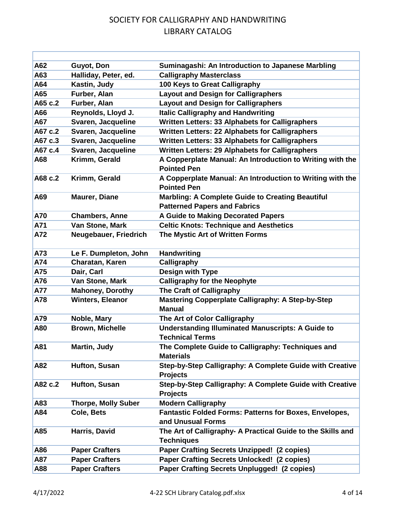| A62        | Guyot, Don                 | Suminagashi: An Introduction to Japanese Marbling                                              |
|------------|----------------------------|------------------------------------------------------------------------------------------------|
| A63        | Halliday, Peter, ed.       | <b>Calligraphy Masterclass</b>                                                                 |
| A64        | Kastin, Judy               | 100 Keys to Great Calligraphy                                                                  |
| A65        | Furber, Alan               | <b>Layout and Design for Calligraphers</b>                                                     |
| A65 c.2    | Furber, Alan               | <b>Layout and Design for Calligraphers</b>                                                     |
| A66        | Reynolds, Lloyd J.         | <b>Italic Calligraphy and Handwriting</b>                                                      |
| <b>A67</b> | Svaren, Jacqueline         | Written Letters: 33 Alphabets for Calligraphers                                                |
| A67 c.2    | Svaren, Jacqueline         | Written Letters: 22 Alphabets for Calligraphers                                                |
| A67 c.3    | Svaren, Jacqueline         | Written Letters: 33 Alphabets for Calligraphers                                                |
| A67 c.4    | Svaren, Jacqueline         | <b>Written Letters: 29 Alphabets for Calligraphers</b>                                         |
| A68        | Krimm, Gerald              | A Copperplate Manual: An Introduction to Writing with the<br><b>Pointed Pen</b>                |
| A68 c.2    | Krimm, Gerald              | A Copperplate Manual: An Introduction to Writing with the<br><b>Pointed Pen</b>                |
| A69        | <b>Maurer, Diane</b>       | <b>Marbling: A Complete Guide to Creating Beautiful</b><br><b>Patterned Papers and Fabrics</b> |
| A70        | <b>Chambers, Anne</b>      | A Guide to Making Decorated Papers                                                             |
| A71        | Van Stone, Mark            | <b>Celtic Knots: Technique and Aesthetics</b>                                                  |
| A72        | Neugebauer, Friedrich      | The Mystic Art of Written Forms                                                                |
| A73        | Le F. Dumpleton, John      | <b>Handwriting</b>                                                                             |
| A74        | Charatan, Karen            | Calligraphy                                                                                    |
| <b>A75</b> | Dair, Carl                 | <b>Design with Type</b>                                                                        |
| <b>A76</b> | Van Stone, Mark            | <b>Calligraphy for the Neophyte</b>                                                            |
| <b>A77</b> | <b>Mahoney, Dorothy</b>    | The Craft of Calligraphy                                                                       |
| <b>A78</b> | <b>Winters, Eleanor</b>    | <b>Mastering Copperplate Calligraphy: A Step-by-Step</b><br><b>Manual</b>                      |
| A79        | Noble, Mary                | The Art of Color Calligraphy                                                                   |
| A80        | <b>Brown, Michelle</b>     | <b>Understanding Illuminated Manuscripts: A Guide to</b><br><b>Technical Terms</b>             |
| A81        | Martin, Judy               | The Complete Guide to Calligraphy: Techniques and<br><b>Materials</b>                          |
| A82        | Hufton, Susan              | Step-by-Step Calligraphy: A Complete Guide with Creative<br><b>Projects</b>                    |
| A82 c.2    | Hufton, Susan              | Step-by-Step Calligraphy: A Complete Guide with Creative<br><b>Projects</b>                    |
| A83        | <b>Thorpe, Molly Suber</b> | <b>Modern Calligraphy</b>                                                                      |
| A84        | Cole, Bets                 | <b>Fantastic Folded Forms: Patterns for Boxes, Envelopes,</b><br>and Unusual Forms             |
| A85        | Harris, David              | The Art of Calligraphy- A Practical Guide to the Skills and<br><b>Techniques</b>               |
| A86        | <b>Paper Crafters</b>      | <b>Paper Crafting Secrets Unzipped! (2 copies)</b>                                             |
| A87        | <b>Paper Crafters</b>      | <b>Paper Crafting Secrets Unlocked! (2 copies)</b>                                             |
| A88        | <b>Paper Crafters</b>      | Paper Crafting Secrets Unplugged! (2 copies)                                                   |
|            |                            |                                                                                                |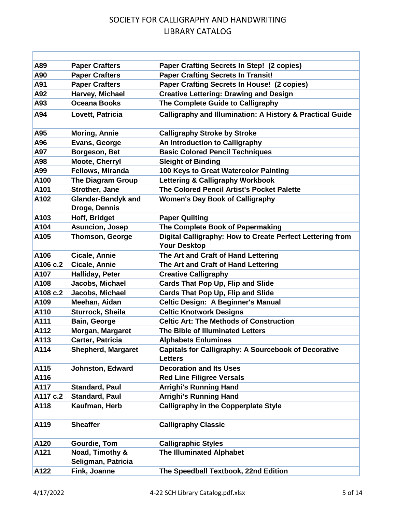| A89      | <b>Paper Crafters</b>                      | <b>Paper Crafting Secrets In Step! (2 copies)</b>                                |
|----------|--------------------------------------------|----------------------------------------------------------------------------------|
| A90      | <b>Paper Crafters</b>                      | <b>Paper Crafting Secrets In Transit!</b>                                        |
| A91      | <b>Paper Crafters</b>                      | Paper Crafting Secrets In House! (2 copies)                                      |
| A92      | Harvey, Michael                            | <b>Creative Lettering: Drawing and Design</b>                                    |
| A93      | <b>Oceana Books</b>                        | The Complete Guide to Calligraphy                                                |
| A94      | Lovett, Patricia                           | <b>Calligraphy and Illumination: A History &amp; Practical Guide</b>             |
| A95      | <b>Moring, Annie</b>                       | <b>Calligraphy Stroke by Stroke</b>                                              |
| A96      | Evans, George                              | An Introduction to Calligraphy                                                   |
| A97      | Borgeson, Bet                              | <b>Basic Colored Pencil Techniques</b>                                           |
| A98      | <b>Moote, Cherryl</b>                      | <b>Sleight of Binding</b>                                                        |
| A99      | Fellows, Miranda                           | 100 Keys to Great Watercolor Painting                                            |
| A100     | <b>The Diagram Group</b>                   | <b>Lettering &amp; Calligraphy Workbook</b>                                      |
| A101     | <b>Strother, Jane</b>                      | The Colored Pencil Artist's Pocket Palette                                       |
| A102     | <b>Glander-Bandyk and</b><br>Droge, Dennis | <b>Women's Day Book of Calligraphy</b>                                           |
| A103     | Hoff, Bridget                              | <b>Paper Quilting</b>                                                            |
| A104     | <b>Asuncion, Josep</b>                     | The Complete Book of Papermaking                                                 |
| A105     | <b>Thomson, George</b>                     | Digital Calligraphy: How to Create Perfect Lettering from<br><b>Your Desktop</b> |
| A106     | Cicale, Annie                              | The Art and Craft of Hand Lettering                                              |
| A106 c.2 | <b>Cicale, Annie</b>                       | The Art and Craft of Hand Lettering                                              |
| A107     | Halliday, Peter                            | <b>Creative Calligraphy</b>                                                      |
| A108     | Jacobs, Michael                            | <b>Cards That Pop Up, Flip and Slide</b>                                         |
| A108 c.2 | Jacobs, Michael                            | <b>Cards That Pop Up, Flip and Slide</b>                                         |
| A109     | Meehan, Aidan                              | <b>Celtic Design: A Beginner's Manual</b>                                        |
| A110     | <b>Sturrock, Sheila</b>                    | <b>Celtic Knotwork Designs</b>                                                   |
| A111     | Bain, George                               | <b>Celtic Art: The Methods of Construction</b>                                   |
| A112     | Morgan, Margaret                           | The Bible of Illuminated Letters                                                 |
| A113     | <b>Carter, Patricia</b>                    | <b>Alphabets Enlumines</b>                                                       |
| A114     | <b>Shepherd, Margaret</b>                  | <b>Capitals for Calligraphy: A Sourcebook of Decorative</b><br><b>Letters</b>    |
| A115     | <b>Johnston, Edward</b>                    | <b>Decoration and Its Uses</b>                                                   |
| A116     |                                            | <b>Red Line Filigree Versals</b>                                                 |
| A117     | <b>Standard, Paul</b>                      | <b>Arrighi's Running Hand</b>                                                    |
| A117 c.2 | <b>Standard, Paul</b>                      | <b>Arrighi's Running Hand</b>                                                    |
| A118     | Kaufman, Herb                              | <b>Calligraphy in the Copperplate Style</b>                                      |
| A119     | <b>Sheaffer</b>                            | <b>Calligraphy Classic</b>                                                       |
| A120     | <b>Gourdie, Tom</b>                        | <b>Calligraphic Styles</b>                                                       |
| A121     | Noad, Timothy &<br>Seligman, Patricia      | <b>The Illuminated Alphabet</b>                                                  |
| A122     | Fink, Joanne                               | The Speedball Textbook, 22nd Edition                                             |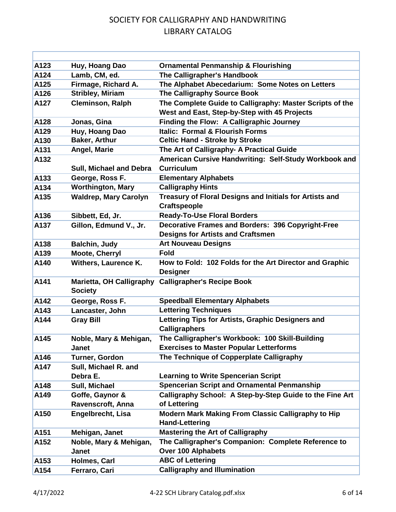| A123 | Huy, Hoang Dao                  | <b>Ornamental Penmanship &amp; Flourishing</b>           |
|------|---------------------------------|----------------------------------------------------------|
| A124 | Lamb, CM, ed.                   | The Calligrapher's Handbook                              |
| A125 | Firmage, Richard A.             | The Alphabet Abecedarium: Some Notes on Letters          |
| A126 | <b>Stribley, Miriam</b>         | The Calligraphy Source Book                              |
| A127 | <b>Cleminson, Ralph</b>         | The Complete Guide to Calligraphy: Master Scripts of the |
|      |                                 | West and East, Step-by-Step with 45 Projects             |
| A128 | Jonas, Gina                     | Finding the Flow: A Calligraphic Journey                 |
| A129 | Huy, Hoang Dao                  | <b>Italic: Formal &amp; Flourish Forms</b>               |
| A130 | <b>Baker, Arthur</b>            | <b>Celtic Hand - Stroke by Stroke</b>                    |
| A131 | Angel, Marie                    | The Art of Calligraphy- A Practical Guide                |
| A132 |                                 | American Cursive Handwriting: Self-Study Workbook and    |
|      | Sull, Michael and Debra         | <b>Curriculum</b>                                        |
| A133 | George, Ross F.                 | <b>Elementary Alphabets</b>                              |
| A134 | <b>Worthington, Mary</b>        | <b>Calligraphy Hints</b>                                 |
| A135 | <b>Waldrep, Mary Carolyn</b>    | Treasury of Floral Designs and Initials for Artists and  |
|      |                                 | <b>Craftspeople</b>                                      |
| A136 | Sibbett, Ed, Jr.                | <b>Ready-To-Use Floral Borders</b>                       |
| A137 | Gillon, Edmund V., Jr.          | <b>Decorative Frames and Borders: 396 Copyright-Free</b> |
|      |                                 | <b>Designs for Artists and Craftsmen</b>                 |
| A138 | <b>Balchin, Judy</b>            | <b>Art Nouveau Designs</b>                               |
| A139 | <b>Moote, Cherryl</b>           | <b>Fold</b>                                              |
| A140 | <b>Withers, Laurence K.</b>     | How to Fold: 102 Folds for the Art Director and Graphic  |
|      |                                 | <b>Designer</b>                                          |
| A141 | <b>Marietta, OH Calligraphy</b> | <b>Calligrapher's Recipe Book</b>                        |
|      | <b>Society</b>                  |                                                          |
| A142 | George, Ross F.                 | <b>Speedball Elementary Alphabets</b>                    |
| A143 | Lancaster, John                 | <b>Lettering Techniques</b>                              |
| A144 | <b>Gray Bill</b>                | Lettering Tips for Artists, Graphic Designers and        |
|      |                                 | <b>Calligraphers</b>                                     |
| A145 | Noble, Mary & Mehigan,          | The Calligrapher's Workbook: 100 Skill-Building          |
|      | <b>Janet</b>                    | <b>Exercises to Master Popular Letterforms</b>           |
| A146 | Turner, Gordon                  | The Technique of Copperplate Calligraphy                 |
| A147 | Sull, Michael R. and            |                                                          |
|      | Debra E.                        | <b>Learning to Write Spencerian Script</b>               |
| A148 | Sull, Michael                   | <b>Spencerian Script and Ornamental Penmanship</b>       |
| A149 | Goffe, Gaynor &                 | Calligraphy School: A Step-by-Step Guide to the Fine Art |
|      | Ravenscroft, Anna               | of Lettering                                             |
| A150 | Engelbrecht, Lisa               | Modern Mark Making From Classic Calligraphy to Hip       |
|      |                                 | <b>Hand-Lettering</b>                                    |
| A151 | Mehigan, Janet                  | <b>Mastering the Art of Calligraphy</b>                  |
| A152 | Noble, Mary & Mehigan,          | The Calligrapher's Companion: Complete Reference to      |
|      | <b>Janet</b>                    | Over 100 Alphabets                                       |
| A153 | Holmes, Carl                    | <b>ABC of Lettering</b>                                  |
| A154 | Ferraro, Cari                   | <b>Calligraphy and Illumination</b>                      |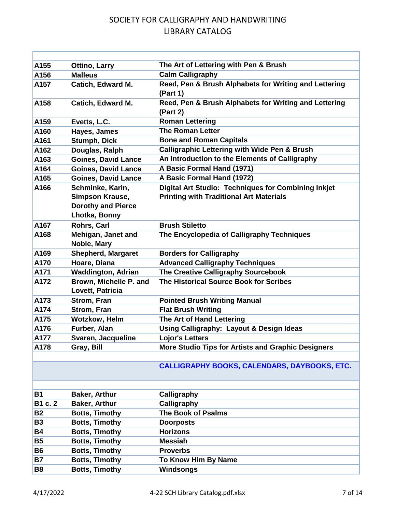| A155      | <b>Ottino, Larry</b>                                          | The Art of Lettering with Pen & Brush                             |
|-----------|---------------------------------------------------------------|-------------------------------------------------------------------|
| A156      | <b>Malleus</b>                                                | <b>Calm Calligraphy</b>                                           |
| A157      | Catich, Edward M.                                             | Reed, Pen & Brush Alphabets for Writing and Lettering<br>(Part 1) |
| A158      | <b>Catich, Edward M.</b>                                      | Reed, Pen & Brush Alphabets for Writing and Lettering<br>(Part 2) |
| A159      | Evetts, L.C.                                                  | <b>Roman Lettering</b>                                            |
| A160      | Hayes, James                                                  | <b>The Roman Letter</b>                                           |
| A161      | <b>Stumph, Dick</b>                                           | <b>Bone and Roman Capitals</b>                                    |
| A162      | Douglas, Ralph                                                | <b>Calligraphic Lettering with Wide Pen &amp; Brush</b>           |
| A163      | <b>Goines, David Lance</b>                                    | An Introduction to the Elements of Calligraphy                    |
| A164      | <b>Goines, David Lance</b>                                    | A Basic Formal Hand (1971)                                        |
| A165      | <b>Goines, David Lance</b>                                    | A Basic Formal Hand (1972)                                        |
| A166      | Schminke, Karin,                                              | <b>Digital Art Studio: Techniques for Combining Inkjet</b>        |
|           | Simpson Krause,<br><b>Dorothy and Pierce</b><br>Lhotka, Bonny | <b>Printing with Traditional Art Materials</b>                    |
| A167      | Rohrs, Carl                                                   | <b>Brush Stiletto</b>                                             |
| A168      | Mehigan, Janet and<br>Noble, Mary                             | The Encyclopedia of Calligraphy Techniques                        |
| A169      | <b>Shepherd, Margaret</b>                                     | <b>Borders for Calligraphy</b>                                    |
| A170      | Hoare, Diana                                                  | <b>Advanced Calligraphy Techniques</b>                            |
| A171      | <b>Waddington, Adrian</b>                                     | The Creative Calligraphy Sourcebook                               |
| A172      | Brown, Michelle P. and<br>Lovett, Patricia                    | The Historical Source Book for Scribes                            |
| A173      | Strom, Fran                                                   | <b>Pointed Brush Writing Manual</b>                               |
| A174      | Strom, Fran                                                   | <b>Flat Brush Writing</b>                                         |
| A175      | <b>Wotzkow, Helm</b>                                          | The Art of Hand Lettering                                         |
| A176      | Furber, Alan                                                  | Using Calligraphy: Layout & Design Ideas                          |
| A177      | Svaren, Jacqueline                                            | <b>Lojor's Letters</b>                                            |
| A178      | Gray, Bill                                                    | <b>More Studio Tips for Artists and Graphic Designers</b>         |
|           |                                                               | <b>CALLIGRAPHY BOOKS, CALENDARS, DAYBOOKS, ETC.</b>               |
| <b>B1</b> | <b>Baker, Arthur</b>                                          | Calligraphy                                                       |
| B1 c. 2   | Baker, Arthur                                                 | Calligraphy                                                       |
| <b>B2</b> | <b>Botts, Timothy</b>                                         | <b>The Book of Psalms</b>                                         |
| <b>B3</b> | <b>Botts, Timothy</b>                                         | <b>Doorposts</b>                                                  |
| <b>B4</b> | <b>Botts, Timothy</b>                                         | <b>Horizons</b>                                                   |
| <b>B5</b> | <b>Botts, Timothy</b>                                         | <b>Messiah</b>                                                    |
| <b>B6</b> | <b>Botts, Timothy</b>                                         | <b>Proverbs</b>                                                   |
| <b>B7</b> | <b>Botts, Timothy</b>                                         | To Know Him By Name                                               |
| <b>B8</b> | <b>Botts, Timothy</b>                                         | Windsongs                                                         |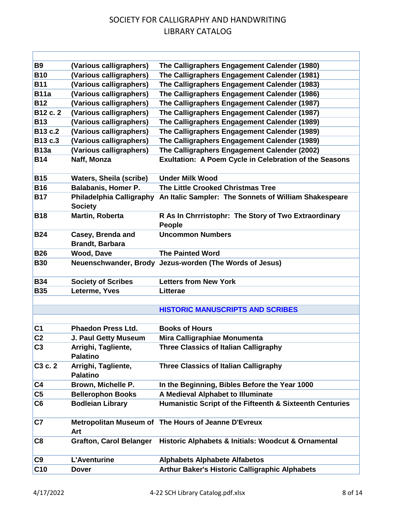| <b>B9</b><br>(Various calligraphers)<br>The Calligraphers Engagement Calender (1980)<br><b>B10</b><br>(Various calligraphers)<br>The Calligraphers Engagement Calender (1981)<br><b>B11</b><br>(Various calligraphers)<br>The Calligraphers Engagement Calender (1983)<br><b>B11a</b><br>(Various calligraphers)<br>The Calligraphers Engagement Calender (1986)<br>(Various calligraphers)<br>The Calligraphers Engagement Calender (1987)<br><b>B12</b><br>B12 c. 2<br>(Various calligraphers)<br>The Calligraphers Engagement Calender (1987)<br>(Various calligraphers)<br><b>B13</b><br>The Calligraphers Engagement Calender (1989)<br>(Various calligraphers)<br>B13 c.2<br>The Calligraphers Engagement Calender (1989)<br>B13 c.3<br>(Various calligraphers)<br>The Calligraphers Engagement Calender (1989)<br>(Various calligraphers)<br><b>B13a</b><br>The Calligraphers Engagement Calender (2002)<br><b>B14</b><br>Naff, Monza<br><b>Exultation: A Poem Cycle in Celebration of the Seasons</b><br><b>B15</b><br><b>Waters, Sheila (scribe)</b><br><b>Under Milk Wood</b><br><b>Balabanis, Homer P.</b><br>The Little Crooked Christmas Tree<br><b>B16</b><br><b>Philadelphia Calligraphy</b><br><b>B17</b><br>An Italic Sampler: The Sonnets of William Shakespeare<br><b>Society</b><br>R As In Chrrristophr: The Story of Two Extraordinary<br><b>B18</b><br>Martin, Roberta<br>People<br><b>Uncommon Numbers</b><br><b>B24</b><br>Casey, Brenda and<br><b>Brandt, Barbara</b><br><b>B26</b><br><b>Wood, Dave</b><br><b>The Painted Word</b><br><b>B30</b><br>Neuenschwander, Brody<br>Jezus-worden (The Words of Jesus)<br><b>B34</b><br><b>Society of Scribes</b><br><b>Letters from New York</b><br><b>B35</b><br>Leterme, Yves<br><b>Litterae</b><br><b>HISTORIC MANUSCRIPTS AND SCRIBES</b><br><b>Phaedon Press Ltd.</b><br><b>Books of Hours</b><br>C <sub>1</sub><br>C <sub>2</sub><br>J. Paul Getty Museum<br>Mira Calligraphiae Monumenta<br>C <sub>3</sub><br>Arrighi, Tagliente,<br><b>Three Classics of Italian Calligraphy</b><br><b>Palatino</b><br>Arrighi, Tagliente,<br><b>Three Classics of Italian Calligraphy</b><br>C <sub>3</sub> c. 2<br><b>Palatino</b><br>Brown, Michelle P.<br>C <sub>4</sub><br>In the Beginning, Bibles Before the Year 1000<br>C <sub>5</sub><br><b>Bellerophon Books</b><br>A Medieval Alphabet to Illuminate<br>C6<br><b>Bodleian Library</b><br>Humanistic Script of the Fifteenth & Sixteenth Centuries<br>C <sub>7</sub><br>Metropolitan Museum of The Hours of Jeanne D'Evreux<br>Art<br>C8<br><b>Grafton, Carol Belanger</b><br>Historic Alphabets & Initials: Woodcut & Ornamental<br>C9<br><b>L'Aventurine</b><br><b>Alphabets Alphabete Alfabetos</b><br>C <sub>10</sub><br><b>Arthur Baker's Historic Calligraphic Alphabets</b><br><b>Dover</b> |  |  |
|---------------------------------------------------------------------------------------------------------------------------------------------------------------------------------------------------------------------------------------------------------------------------------------------------------------------------------------------------------------------------------------------------------------------------------------------------------------------------------------------------------------------------------------------------------------------------------------------------------------------------------------------------------------------------------------------------------------------------------------------------------------------------------------------------------------------------------------------------------------------------------------------------------------------------------------------------------------------------------------------------------------------------------------------------------------------------------------------------------------------------------------------------------------------------------------------------------------------------------------------------------------------------------------------------------------------------------------------------------------------------------------------------------------------------------------------------------------------------------------------------------------------------------------------------------------------------------------------------------------------------------------------------------------------------------------------------------------------------------------------------------------------------------------------------------------------------------------------------------------------------------------------------------------------------------------------------------------------------------------------------------------------------------------------------------------------------------------------------------------------------------------------------------------------------------------------------------------------------------------------------------------------------------------------------------------------------------------------------------------------------------------------------------------------------------------------------------------------------------------------------------------------------------------------------------------------------------------------------------------------------------------------------------------------------------------------------------------------------------------------------------------------------------------------------------------------------|--|--|
|                                                                                                                                                                                                                                                                                                                                                                                                                                                                                                                                                                                                                                                                                                                                                                                                                                                                                                                                                                                                                                                                                                                                                                                                                                                                                                                                                                                                                                                                                                                                                                                                                                                                                                                                                                                                                                                                                                                                                                                                                                                                                                                                                                                                                                                                                                                                                                                                                                                                                                                                                                                                                                                                                                                                                                                                                           |  |  |
|                                                                                                                                                                                                                                                                                                                                                                                                                                                                                                                                                                                                                                                                                                                                                                                                                                                                                                                                                                                                                                                                                                                                                                                                                                                                                                                                                                                                                                                                                                                                                                                                                                                                                                                                                                                                                                                                                                                                                                                                                                                                                                                                                                                                                                                                                                                                                                                                                                                                                                                                                                                                                                                                                                                                                                                                                           |  |  |
|                                                                                                                                                                                                                                                                                                                                                                                                                                                                                                                                                                                                                                                                                                                                                                                                                                                                                                                                                                                                                                                                                                                                                                                                                                                                                                                                                                                                                                                                                                                                                                                                                                                                                                                                                                                                                                                                                                                                                                                                                                                                                                                                                                                                                                                                                                                                                                                                                                                                                                                                                                                                                                                                                                                                                                                                                           |  |  |
|                                                                                                                                                                                                                                                                                                                                                                                                                                                                                                                                                                                                                                                                                                                                                                                                                                                                                                                                                                                                                                                                                                                                                                                                                                                                                                                                                                                                                                                                                                                                                                                                                                                                                                                                                                                                                                                                                                                                                                                                                                                                                                                                                                                                                                                                                                                                                                                                                                                                                                                                                                                                                                                                                                                                                                                                                           |  |  |
|                                                                                                                                                                                                                                                                                                                                                                                                                                                                                                                                                                                                                                                                                                                                                                                                                                                                                                                                                                                                                                                                                                                                                                                                                                                                                                                                                                                                                                                                                                                                                                                                                                                                                                                                                                                                                                                                                                                                                                                                                                                                                                                                                                                                                                                                                                                                                                                                                                                                                                                                                                                                                                                                                                                                                                                                                           |  |  |
|                                                                                                                                                                                                                                                                                                                                                                                                                                                                                                                                                                                                                                                                                                                                                                                                                                                                                                                                                                                                                                                                                                                                                                                                                                                                                                                                                                                                                                                                                                                                                                                                                                                                                                                                                                                                                                                                                                                                                                                                                                                                                                                                                                                                                                                                                                                                                                                                                                                                                                                                                                                                                                                                                                                                                                                                                           |  |  |
|                                                                                                                                                                                                                                                                                                                                                                                                                                                                                                                                                                                                                                                                                                                                                                                                                                                                                                                                                                                                                                                                                                                                                                                                                                                                                                                                                                                                                                                                                                                                                                                                                                                                                                                                                                                                                                                                                                                                                                                                                                                                                                                                                                                                                                                                                                                                                                                                                                                                                                                                                                                                                                                                                                                                                                                                                           |  |  |
|                                                                                                                                                                                                                                                                                                                                                                                                                                                                                                                                                                                                                                                                                                                                                                                                                                                                                                                                                                                                                                                                                                                                                                                                                                                                                                                                                                                                                                                                                                                                                                                                                                                                                                                                                                                                                                                                                                                                                                                                                                                                                                                                                                                                                                                                                                                                                                                                                                                                                                                                                                                                                                                                                                                                                                                                                           |  |  |
|                                                                                                                                                                                                                                                                                                                                                                                                                                                                                                                                                                                                                                                                                                                                                                                                                                                                                                                                                                                                                                                                                                                                                                                                                                                                                                                                                                                                                                                                                                                                                                                                                                                                                                                                                                                                                                                                                                                                                                                                                                                                                                                                                                                                                                                                                                                                                                                                                                                                                                                                                                                                                                                                                                                                                                                                                           |  |  |
|                                                                                                                                                                                                                                                                                                                                                                                                                                                                                                                                                                                                                                                                                                                                                                                                                                                                                                                                                                                                                                                                                                                                                                                                                                                                                                                                                                                                                                                                                                                                                                                                                                                                                                                                                                                                                                                                                                                                                                                                                                                                                                                                                                                                                                                                                                                                                                                                                                                                                                                                                                                                                                                                                                                                                                                                                           |  |  |
|                                                                                                                                                                                                                                                                                                                                                                                                                                                                                                                                                                                                                                                                                                                                                                                                                                                                                                                                                                                                                                                                                                                                                                                                                                                                                                                                                                                                                                                                                                                                                                                                                                                                                                                                                                                                                                                                                                                                                                                                                                                                                                                                                                                                                                                                                                                                                                                                                                                                                                                                                                                                                                                                                                                                                                                                                           |  |  |
|                                                                                                                                                                                                                                                                                                                                                                                                                                                                                                                                                                                                                                                                                                                                                                                                                                                                                                                                                                                                                                                                                                                                                                                                                                                                                                                                                                                                                                                                                                                                                                                                                                                                                                                                                                                                                                                                                                                                                                                                                                                                                                                                                                                                                                                                                                                                                                                                                                                                                                                                                                                                                                                                                                                                                                                                                           |  |  |
|                                                                                                                                                                                                                                                                                                                                                                                                                                                                                                                                                                                                                                                                                                                                                                                                                                                                                                                                                                                                                                                                                                                                                                                                                                                                                                                                                                                                                                                                                                                                                                                                                                                                                                                                                                                                                                                                                                                                                                                                                                                                                                                                                                                                                                                                                                                                                                                                                                                                                                                                                                                                                                                                                                                                                                                                                           |  |  |
|                                                                                                                                                                                                                                                                                                                                                                                                                                                                                                                                                                                                                                                                                                                                                                                                                                                                                                                                                                                                                                                                                                                                                                                                                                                                                                                                                                                                                                                                                                                                                                                                                                                                                                                                                                                                                                                                                                                                                                                                                                                                                                                                                                                                                                                                                                                                                                                                                                                                                                                                                                                                                                                                                                                                                                                                                           |  |  |
|                                                                                                                                                                                                                                                                                                                                                                                                                                                                                                                                                                                                                                                                                                                                                                                                                                                                                                                                                                                                                                                                                                                                                                                                                                                                                                                                                                                                                                                                                                                                                                                                                                                                                                                                                                                                                                                                                                                                                                                                                                                                                                                                                                                                                                                                                                                                                                                                                                                                                                                                                                                                                                                                                                                                                                                                                           |  |  |
|                                                                                                                                                                                                                                                                                                                                                                                                                                                                                                                                                                                                                                                                                                                                                                                                                                                                                                                                                                                                                                                                                                                                                                                                                                                                                                                                                                                                                                                                                                                                                                                                                                                                                                                                                                                                                                                                                                                                                                                                                                                                                                                                                                                                                                                                                                                                                                                                                                                                                                                                                                                                                                                                                                                                                                                                                           |  |  |
|                                                                                                                                                                                                                                                                                                                                                                                                                                                                                                                                                                                                                                                                                                                                                                                                                                                                                                                                                                                                                                                                                                                                                                                                                                                                                                                                                                                                                                                                                                                                                                                                                                                                                                                                                                                                                                                                                                                                                                                                                                                                                                                                                                                                                                                                                                                                                                                                                                                                                                                                                                                                                                                                                                                                                                                                                           |  |  |
|                                                                                                                                                                                                                                                                                                                                                                                                                                                                                                                                                                                                                                                                                                                                                                                                                                                                                                                                                                                                                                                                                                                                                                                                                                                                                                                                                                                                                                                                                                                                                                                                                                                                                                                                                                                                                                                                                                                                                                                                                                                                                                                                                                                                                                                                                                                                                                                                                                                                                                                                                                                                                                                                                                                                                                                                                           |  |  |
|                                                                                                                                                                                                                                                                                                                                                                                                                                                                                                                                                                                                                                                                                                                                                                                                                                                                                                                                                                                                                                                                                                                                                                                                                                                                                                                                                                                                                                                                                                                                                                                                                                                                                                                                                                                                                                                                                                                                                                                                                                                                                                                                                                                                                                                                                                                                                                                                                                                                                                                                                                                                                                                                                                                                                                                                                           |  |  |
|                                                                                                                                                                                                                                                                                                                                                                                                                                                                                                                                                                                                                                                                                                                                                                                                                                                                                                                                                                                                                                                                                                                                                                                                                                                                                                                                                                                                                                                                                                                                                                                                                                                                                                                                                                                                                                                                                                                                                                                                                                                                                                                                                                                                                                                                                                                                                                                                                                                                                                                                                                                                                                                                                                                                                                                                                           |  |  |
|                                                                                                                                                                                                                                                                                                                                                                                                                                                                                                                                                                                                                                                                                                                                                                                                                                                                                                                                                                                                                                                                                                                                                                                                                                                                                                                                                                                                                                                                                                                                                                                                                                                                                                                                                                                                                                                                                                                                                                                                                                                                                                                                                                                                                                                                                                                                                                                                                                                                                                                                                                                                                                                                                                                                                                                                                           |  |  |
|                                                                                                                                                                                                                                                                                                                                                                                                                                                                                                                                                                                                                                                                                                                                                                                                                                                                                                                                                                                                                                                                                                                                                                                                                                                                                                                                                                                                                                                                                                                                                                                                                                                                                                                                                                                                                                                                                                                                                                                                                                                                                                                                                                                                                                                                                                                                                                                                                                                                                                                                                                                                                                                                                                                                                                                                                           |  |  |
|                                                                                                                                                                                                                                                                                                                                                                                                                                                                                                                                                                                                                                                                                                                                                                                                                                                                                                                                                                                                                                                                                                                                                                                                                                                                                                                                                                                                                                                                                                                                                                                                                                                                                                                                                                                                                                                                                                                                                                                                                                                                                                                                                                                                                                                                                                                                                                                                                                                                                                                                                                                                                                                                                                                                                                                                                           |  |  |
|                                                                                                                                                                                                                                                                                                                                                                                                                                                                                                                                                                                                                                                                                                                                                                                                                                                                                                                                                                                                                                                                                                                                                                                                                                                                                                                                                                                                                                                                                                                                                                                                                                                                                                                                                                                                                                                                                                                                                                                                                                                                                                                                                                                                                                                                                                                                                                                                                                                                                                                                                                                                                                                                                                                                                                                                                           |  |  |
|                                                                                                                                                                                                                                                                                                                                                                                                                                                                                                                                                                                                                                                                                                                                                                                                                                                                                                                                                                                                                                                                                                                                                                                                                                                                                                                                                                                                                                                                                                                                                                                                                                                                                                                                                                                                                                                                                                                                                                                                                                                                                                                                                                                                                                                                                                                                                                                                                                                                                                                                                                                                                                                                                                                                                                                                                           |  |  |
|                                                                                                                                                                                                                                                                                                                                                                                                                                                                                                                                                                                                                                                                                                                                                                                                                                                                                                                                                                                                                                                                                                                                                                                                                                                                                                                                                                                                                                                                                                                                                                                                                                                                                                                                                                                                                                                                                                                                                                                                                                                                                                                                                                                                                                                                                                                                                                                                                                                                                                                                                                                                                                                                                                                                                                                                                           |  |  |
|                                                                                                                                                                                                                                                                                                                                                                                                                                                                                                                                                                                                                                                                                                                                                                                                                                                                                                                                                                                                                                                                                                                                                                                                                                                                                                                                                                                                                                                                                                                                                                                                                                                                                                                                                                                                                                                                                                                                                                                                                                                                                                                                                                                                                                                                                                                                                                                                                                                                                                                                                                                                                                                                                                                                                                                                                           |  |  |
|                                                                                                                                                                                                                                                                                                                                                                                                                                                                                                                                                                                                                                                                                                                                                                                                                                                                                                                                                                                                                                                                                                                                                                                                                                                                                                                                                                                                                                                                                                                                                                                                                                                                                                                                                                                                                                                                                                                                                                                                                                                                                                                                                                                                                                                                                                                                                                                                                                                                                                                                                                                                                                                                                                                                                                                                                           |  |  |
|                                                                                                                                                                                                                                                                                                                                                                                                                                                                                                                                                                                                                                                                                                                                                                                                                                                                                                                                                                                                                                                                                                                                                                                                                                                                                                                                                                                                                                                                                                                                                                                                                                                                                                                                                                                                                                                                                                                                                                                                                                                                                                                                                                                                                                                                                                                                                                                                                                                                                                                                                                                                                                                                                                                                                                                                                           |  |  |
|                                                                                                                                                                                                                                                                                                                                                                                                                                                                                                                                                                                                                                                                                                                                                                                                                                                                                                                                                                                                                                                                                                                                                                                                                                                                                                                                                                                                                                                                                                                                                                                                                                                                                                                                                                                                                                                                                                                                                                                                                                                                                                                                                                                                                                                                                                                                                                                                                                                                                                                                                                                                                                                                                                                                                                                                                           |  |  |
|                                                                                                                                                                                                                                                                                                                                                                                                                                                                                                                                                                                                                                                                                                                                                                                                                                                                                                                                                                                                                                                                                                                                                                                                                                                                                                                                                                                                                                                                                                                                                                                                                                                                                                                                                                                                                                                                                                                                                                                                                                                                                                                                                                                                                                                                                                                                                                                                                                                                                                                                                                                                                                                                                                                                                                                                                           |  |  |
|                                                                                                                                                                                                                                                                                                                                                                                                                                                                                                                                                                                                                                                                                                                                                                                                                                                                                                                                                                                                                                                                                                                                                                                                                                                                                                                                                                                                                                                                                                                                                                                                                                                                                                                                                                                                                                                                                                                                                                                                                                                                                                                                                                                                                                                                                                                                                                                                                                                                                                                                                                                                                                                                                                                                                                                                                           |  |  |
|                                                                                                                                                                                                                                                                                                                                                                                                                                                                                                                                                                                                                                                                                                                                                                                                                                                                                                                                                                                                                                                                                                                                                                                                                                                                                                                                                                                                                                                                                                                                                                                                                                                                                                                                                                                                                                                                                                                                                                                                                                                                                                                                                                                                                                                                                                                                                                                                                                                                                                                                                                                                                                                                                                                                                                                                                           |  |  |
|                                                                                                                                                                                                                                                                                                                                                                                                                                                                                                                                                                                                                                                                                                                                                                                                                                                                                                                                                                                                                                                                                                                                                                                                                                                                                                                                                                                                                                                                                                                                                                                                                                                                                                                                                                                                                                                                                                                                                                                                                                                                                                                                                                                                                                                                                                                                                                                                                                                                                                                                                                                                                                                                                                                                                                                                                           |  |  |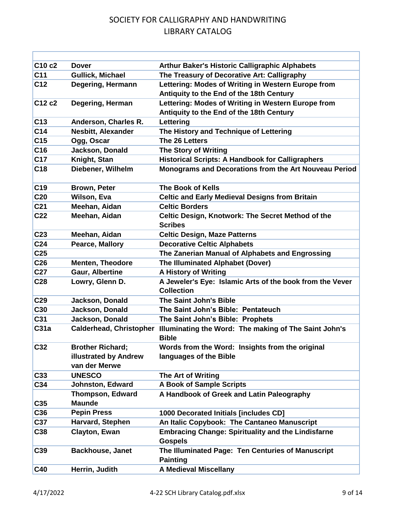| C <sub>10</sub> c <sub>2</sub> | <b>Dover</b>                   | <b>Arthur Baker's Historic Calligraphic Alphabets</b>                         |
|--------------------------------|--------------------------------|-------------------------------------------------------------------------------|
| C <sub>11</sub>                | <b>Gullick, Michael</b>        | The Treasury of Decorative Art: Calligraphy                                   |
| C <sub>12</sub>                | Degering, Hermann              | Lettering: Modes of Writing in Western Europe from                            |
|                                |                                | Antiquity to the End of the 18th Century                                      |
| C12 c2                         | Degering, Herman               | Lettering: Modes of Writing in Western Europe from                            |
|                                |                                | Antiquity to the End of the 18th Century                                      |
| C13                            | Anderson, Charles R.           | Lettering                                                                     |
| C <sub>14</sub>                | <b>Nesbitt, Alexander</b>      | The History and Technique of Lettering                                        |
| C <sub>15</sub>                | Ogg, Oscar                     | The 26 Letters                                                                |
| C16                            | Jackson, Donald                | <b>The Story of Writing</b>                                                   |
| C <sub>17</sub>                | Knight, Stan                   | <b>Historical Scripts: A Handbook for Calligraphers</b>                       |
| C <sub>18</sub>                | Diebener, Wilhelm              | Monograms and Decorations from the Art Nouveau Period                         |
| C <sub>19</sub>                | <b>Brown, Peter</b>            | <b>The Book of Kells</b>                                                      |
| <b>C20</b>                     | Wilson, Eva                    | <b>Celtic and Early Medieval Designs from Britain</b>                         |
| C <sub>21</sub>                | Meehan, Aidan                  | <b>Celtic Borders</b>                                                         |
| C <sub>22</sub>                | Meehan, Aidan                  | <b>Celtic Design, Knotwork: The Secret Method of the</b><br><b>Scribes</b>    |
| C <sub>23</sub>                | Meehan, Aidan                  | <b>Celtic Design, Maze Patterns</b>                                           |
| C <sub>24</sub>                | <b>Pearce, Mallory</b>         | <b>Decorative Celtic Alphabets</b>                                            |
| C <sub>25</sub>                |                                | The Zanerian Manual of Alphabets and Engrossing                               |
| C <sub>26</sub>                | <b>Menten, Theodore</b>        | <b>The Illuminated Alphabet (Dover)</b>                                       |
| C <sub>27</sub>                | <b>Gaur, Albertine</b>         | <b>A History of Writing</b>                                                   |
| C <sub>28</sub>                | Lowry, Glenn D.                | A Jeweler's Eye: Islamic Arts of the book from the Vever<br><b>Collection</b> |
| C <sub>29</sub>                | Jackson, Donald                | The Saint John's Bible                                                        |
| C30                            | Jackson, Donald                | The Saint John's Bible: Pentateuch                                            |
| C31                            | Jackson, Donald                | The Saint John's Bible: Prophets                                              |
| C <sub>31a</sub>               | <b>Calderhead, Christopher</b> | Illuminating the Word: The making of The Saint John's<br><b>Bible</b>         |
| C <sub>32</sub>                | <b>Brother Richard;</b>        | Words from the Word: Insights from the original                               |
|                                | illustrated by Andrew          | languages of the Bible                                                        |
|                                | van der Merwe                  |                                                                               |
| C33                            | <b>UNESCO</b>                  | The Art of Writing                                                            |
| C34                            | Johnston, Edward               | <b>A Book of Sample Scripts</b>                                               |
|                                | <b>Thompson, Edward</b>        | A Handbook of Greek and Latin Paleography                                     |
| C35                            | <b>Maunde</b>                  |                                                                               |
| C36                            | <b>Pepin Press</b>             | 1000 Decorated Initials [includes CD]                                         |
| C <sub>37</sub>                | Harvard, Stephen               | An Italic Copybook: The Cantaneo Manuscript                                   |
| C38                            | <b>Clayton, Ewan</b>           | <b>Embracing Change: Spirituality and the Lindisfarne</b><br><b>Gospels</b>   |
| C39                            | <b>Backhouse, Janet</b>        | The Illuminated Page: Ten Centuries of Manuscript<br><b>Painting</b>          |
| C40                            | Herrin, Judith                 | <b>A Medieval Miscellany</b>                                                  |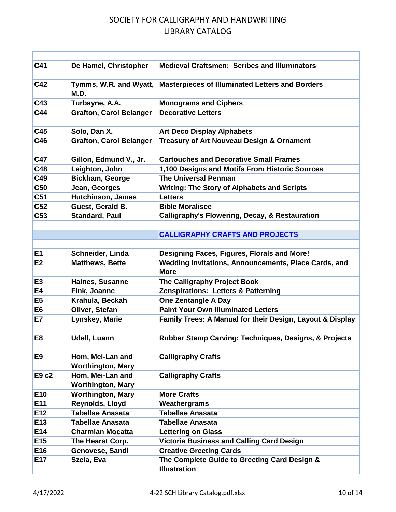| C41             | De Hamel, Christopher                        | <b>Medieval Craftsmen: Scribes and Illuminators</b>                    |
|-----------------|----------------------------------------------|------------------------------------------------------------------------|
| C42             | M.D.                                         | Tymms, W.R. and Wyatt, Masterpieces of Illuminated Letters and Borders |
| C43             | Turbayne, A.A.                               | <b>Monograms and Ciphers</b>                                           |
| C44             | <b>Grafton, Carol Belanger</b>               | <b>Decorative Letters</b>                                              |
| C45             | Solo, Dan X.                                 | <b>Art Deco Display Alphabets</b>                                      |
| C46             | <b>Grafton, Carol Belanger</b>               | <b>Treasury of Art Nouveau Design &amp; Ornament</b>                   |
| C47             | Gillon, Edmund V., Jr.                       | <b>Cartouches and Decorative Small Frames</b>                          |
| C48             | Leighton, John                               | 1,100 Designs and Motifs From Historic Sources                         |
| C49             | <b>Bickham, George</b>                       | <b>The Universal Penman</b>                                            |
| <b>C50</b>      | Jean, Georges                                | <b>Writing: The Story of Alphabets and Scripts</b>                     |
| C <sub>51</sub> | <b>Hutchinson, James</b>                     | <b>Letters</b>                                                         |
| C <sub>52</sub> | Guest, Gerald B.                             | <b>Bible Moralisee</b>                                                 |
| C <sub>53</sub> | <b>Standard, Paul</b>                        | <b>Calligraphy's Flowering, Decay, &amp; Restauration</b>              |
|                 |                                              |                                                                        |
|                 |                                              | <b>CALLIGRAPHY CRAFTS AND PROJECTS</b>                                 |
|                 |                                              |                                                                        |
| E <sub>1</sub>  | Schneider, Linda                             | Designing Faces, Figures, Florals and More!                            |
| E2              | <b>Matthews, Bette</b>                       | Wedding Invitations, Announcements, Place Cards, and<br><b>More</b>    |
| E <sub>3</sub>  | Haines, Susanne                              | The Calligraphy Project Book                                           |
| E4              | Fink, Joanne                                 | <b>Zenspirations: Letters &amp; Patterning</b>                         |
| E <sub>5</sub>  | Krahula, Beckah                              | <b>One Zentangle A Day</b>                                             |
| E <sub>6</sub>  | Oliver, Stefan                               | <b>Paint Your Own Illuminated Letters</b>                              |
| E7              | Lynskey, Marie                               | Family Trees: A Manual for their Design, Layout & Display              |
| E <sub>8</sub>  | <b>Udell, Luann</b>                          | Rubber Stamp Carving: Techniques, Designs, & Projects                  |
| E <sub>9</sub>  | Hom, Mei-Lan and<br><b>Worthington, Mary</b> | <b>Calligraphy Crafts</b>                                              |
| E9 c2           | Hom, Mei-Lan and<br><b>Worthington, Mary</b> | <b>Calligraphy Crafts</b>                                              |
| E <sub>10</sub> | <b>Worthington, Mary</b>                     | <b>More Crafts</b>                                                     |
| E11             | Reynolds, Lloyd                              | Weathergrams                                                           |
| E12             | <b>Tabellae Anasata</b>                      | <b>Tabellae Anasata</b>                                                |
| E13             | <b>Tabellae Anasata</b>                      | <b>Tabellae Anasata</b>                                                |
| E14             | <b>Charmian Mocatta</b>                      | <b>Lettering on Glass</b>                                              |
| E <sub>15</sub> | The Hearst Corp.                             | <b>Victoria Business and Calling Card Design</b>                       |
| E16             | Genovese, Sandi                              | <b>Creative Greeting Cards</b>                                         |
| E17             | Szela, Eva                                   | The Complete Guide to Greeting Card Design &<br><b>Illustration</b>    |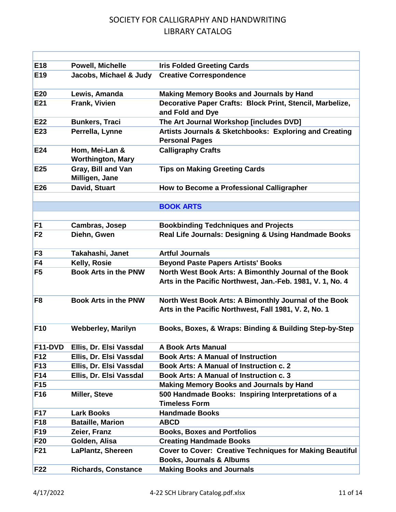| E <sub>18</sub> | <b>Powell, Michelle</b>                    | <b>Iris Folded Greeting Cards</b>                                                                                   |
|-----------------|--------------------------------------------|---------------------------------------------------------------------------------------------------------------------|
| E <sub>19</sub> | Jacobs, Michael & Judy                     | <b>Creative Correspondence</b>                                                                                      |
| <b>E20</b>      | Lewis, Amanda                              | <b>Making Memory Books and Journals by Hand</b>                                                                     |
| E21             | Frank, Vivien                              | Decorative Paper Crafts: Block Print, Stencil, Marbelize,<br>and Fold and Dye                                       |
| E22             | <b>Bunkers, Traci</b>                      | The Art Journal Workshop [includes DVD]                                                                             |
| E23             | Perrella, Lynne                            | Artists Journals & Sketchbooks: Exploring and Creating<br><b>Personal Pages</b>                                     |
| E24             | Hom, Mei-Lan &<br><b>Worthington, Mary</b> | <b>Calligraphy Crafts</b>                                                                                           |
| E <sub>25</sub> | Gray, Bill and Van<br>Milligen, Jane       | <b>Tips on Making Greeting Cards</b>                                                                                |
| E26             | David, Stuart                              | How to Become a Professional Calligrapher                                                                           |
|                 |                                            |                                                                                                                     |
|                 |                                            | <b>BOOK ARTS</b>                                                                                                    |
|                 |                                            |                                                                                                                     |
| F <sub>1</sub>  | Cambras, Josep                             | <b>Bookbinding Tedchniques and Projects</b>                                                                         |
| F <sub>2</sub>  | Diehn, Gwen                                | Real Life Journals: Designing & Using Handmade Books                                                                |
| F <sub>3</sub>  | Takahashi, Janet                           | <b>Artful Journals</b>                                                                                              |
| F4              | Kelly, Rosie                               | <b>Beyond Paste Papers Artists' Books</b>                                                                           |
| F <sub>5</sub>  | <b>Book Arts in the PNW</b>                | North West Book Arts: A Bimonthly Journal of the Book<br>Arts in the Pacific Northwest, Jan.-Feb. 1981, V. 1, No. 4 |
| F <sub>8</sub>  | <b>Book Arts in the PNW</b>                | North West Book Arts: A Bimonthly Journal of the Book<br>Arts in the Pacific Northwest, Fall 1981, V. 2, No. 1      |
| <b>F10</b>      | <b>Webberley, Marilyn</b>                  | Books, Boxes, & Wraps: Binding & Building Step-by-Step                                                              |
| F11-DVD         | Ellis, Dr. Elsi Vassdal                    | <b>A Book Arts Manual</b>                                                                                           |
| F12             | Ellis, Dr. Elsi Vassdal                    | <b>Book Arts: A Manual of Instruction</b>                                                                           |
| <b>F13</b>      | Ellis, Dr. Elsi Vassdal                    | Book Arts: A Manual of Instruction c. 2                                                                             |
| F <sub>14</sub> | Ellis, Dr. Elsi Vassdal                    | <b>Book Arts: A Manual of Instruction c. 3</b>                                                                      |
| F <sub>15</sub> |                                            | <b>Making Memory Books and Journals by Hand</b>                                                                     |
| F <sub>16</sub> | <b>Miller, Steve</b>                       | 500 Handmade Books: Inspiring Interpretations of a<br><b>Timeless Form</b>                                          |
| <b>F17</b>      | <b>Lark Books</b>                          | <b>Handmade Books</b>                                                                                               |
| <b>F18</b>      | <b>Bataille, Marion</b>                    | <b>ABCD</b>                                                                                                         |
| F <sub>19</sub> | Zeier, Franz                               | <b>Books, Boxes and Portfolios</b>                                                                                  |
| F20             | Golden, Alisa                              | <b>Creating Handmade Books</b>                                                                                      |
| F <sub>21</sub> | <b>LaPlantz, Shereen</b>                   | Cover to Cover: Creative Techniques for Making Beautiful<br><b>Books, Journals &amp; Albums</b>                     |
| F22             | <b>Richards, Constance</b>                 | <b>Making Books and Journals</b>                                                                                    |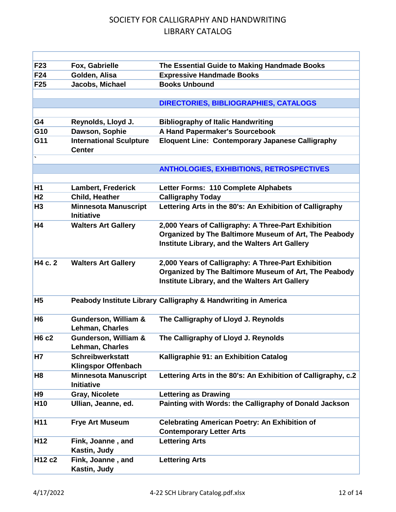| F <sub>23</sub> | Fox, Gabrielle                                        | The Essential Guide to Making Handmade Books                                                                                                                   |
|-----------------|-------------------------------------------------------|----------------------------------------------------------------------------------------------------------------------------------------------------------------|
| F24             | Golden, Alisa                                         | <b>Expressive Handmade Books</b>                                                                                                                               |
| F <sub>25</sub> | Jacobs, Michael                                       | <b>Books Unbound</b>                                                                                                                                           |
|                 |                                                       |                                                                                                                                                                |
|                 |                                                       | DIRECTORIES, BIBLIOGRAPHIES, CATALOGS                                                                                                                          |
|                 |                                                       |                                                                                                                                                                |
| G4              | Reynolds, Lloyd J.                                    | <b>Bibliography of Italic Handwriting</b>                                                                                                                      |
| G10             | Dawson, Sophie                                        | A Hand Papermaker's Sourcebook                                                                                                                                 |
| G11             | <b>International Sculpture</b><br><b>Center</b>       | <b>Eloquent Line: Contemporary Japanese Calligraphy</b>                                                                                                        |
|                 |                                                       |                                                                                                                                                                |
|                 |                                                       | <b>ANTHOLOGIES, EXHIBITIONS, RETROSPECTIVES</b>                                                                                                                |
|                 |                                                       |                                                                                                                                                                |
| <b>H1</b>       | <b>Lambert, Frederick</b>                             | Letter Forms: 110 Complete Alphabets                                                                                                                           |
| H <sub>2</sub>  | Child, Heather                                        | <b>Calligraphy Today</b>                                                                                                                                       |
| H3              | <b>Minnesota Manuscript</b><br><b>Initiative</b>      | Lettering Arts in the 80's: An Exhibition of Calligraphy                                                                                                       |
| H4              | <b>Walters Art Gallery</b>                            | 2,000 Years of Calligraphy: A Three-Part Exhibition<br>Organized by The Baltimore Museum of Art, The Peabody<br>Institute Library, and the Walters Art Gallery |
| H4 c. 2         | <b>Walters Art Gallery</b>                            | 2,000 Years of Calligraphy: A Three-Part Exhibition<br>Organized by The Baltimore Museum of Art, The Peabody<br>Institute Library, and the Walters Art Gallery |
| H <sub>5</sub>  |                                                       | Peabody Institute Library Calligraphy & Handwriting in America                                                                                                 |
| H <sub>6</sub>  | <b>Gunderson, William &amp;</b><br>Lehman, Charles    | The Calligraphy of Lloyd J. Reynolds                                                                                                                           |
| <b>H6 c2</b>    | <b>Gunderson, William &amp;</b><br>Lehman, Charles    | The Calligraphy of Lloyd J. Reynolds                                                                                                                           |
| <b>H7</b>       | <b>Schreibwerkstatt</b><br><b>Klingspor Offenbach</b> | Kalligraphie 91: an Exhibition Catalog                                                                                                                         |
| H <sub>8</sub>  | <b>Minnesota Manuscript</b><br><b>Initiative</b>      | Lettering Arts in the 80's: An Exhibition of Calligraphy, c.2                                                                                                  |
| H <sub>9</sub>  | <b>Gray, Nicolete</b>                                 | <b>Lettering as Drawing</b>                                                                                                                                    |
| H <sub>10</sub> | Ullian, Jeanne, ed.                                   | Painting with Words: the Calligraphy of Donald Jackson                                                                                                         |
| H <sub>11</sub> | <b>Frye Art Museum</b>                                | <b>Celebrating American Poetry: An Exhibition of</b><br><b>Contemporary Letter Arts</b>                                                                        |
| H <sub>12</sub> | Fink, Joanne, and<br>Kastin, Judy                     | <b>Lettering Arts</b>                                                                                                                                          |
| H12 c2          | Fink, Joanne, and<br>Kastin, Judy                     | <b>Lettering Arts</b>                                                                                                                                          |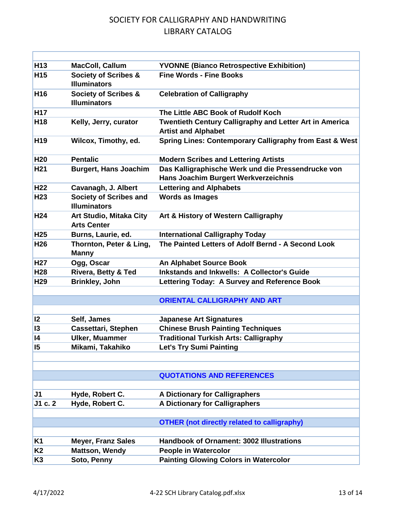| H <sub>13</sub> | MacColl, Callum                                        | <b>YVONNE (Bianco Retrospective Exhibition)</b>                                            |
|-----------------|--------------------------------------------------------|--------------------------------------------------------------------------------------------|
| H <sub>15</sub> | <b>Society of Scribes &amp;</b><br><b>Illuminators</b> | <b>Fine Words - Fine Books</b>                                                             |
| H <sub>16</sub> | <b>Society of Scribes &amp;</b><br><b>Illuminators</b> | <b>Celebration of Calligraphy</b>                                                          |
| <b>H17</b>      |                                                        | The Little ABC Book of Rudolf Koch                                                         |
| H <sub>18</sub> | Kelly, Jerry, curator                                  | Twentieth Century Calligraphy and Letter Art in America<br><b>Artist and Alphabet</b>      |
| H <sub>19</sub> | Wilcox, Timothy, ed.                                   | Spring Lines: Contemporary Calligraphy from East & West                                    |
| <b>H20</b>      | <b>Pentalic</b>                                        | <b>Modern Scribes and Lettering Artists</b>                                                |
| H <sub>21</sub> | <b>Burgert, Hans Joachim</b>                           | Das Kalligraphische Werk und die Pressendrucke von<br>Hans Joachim Burgert Werkverzeichnis |
| H <sub>22</sub> | Cavanagh, J. Albert                                    | <b>Lettering and Alphabets</b>                                                             |
| H <sub>23</sub> | <b>Society of Scribes and</b><br><b>Illuminators</b>   | <b>Words as Images</b>                                                                     |
| H <sub>24</sub> | Art Studio, Mitaka City<br><b>Arts Center</b>          | Art & History of Western Calligraphy                                                       |
| H <sub>25</sub> | Burns, Laurie, ed.                                     | <b>International Calligraphy Today</b>                                                     |
| H <sub>26</sub> | Thornton, Peter & Ling,<br><b>Manny</b>                | The Painted Letters of Adolf Bernd - A Second Look                                         |
| H <sub>27</sub> | Ogg, Oscar                                             | <b>An Alphabet Source Book</b>                                                             |
| H28             | <b>Rivera, Betty &amp; Ted</b>                         | <b>Inkstands and Inkwells: A Collector's Guide</b>                                         |
| H <sub>29</sub> | <b>Brinkley, John</b>                                  | Lettering Today: A Survey and Reference Book                                               |
|                 |                                                        |                                                                                            |
|                 |                                                        | <b>ORIENTAL CALLIGRAPHY AND ART</b>                                                        |
| 2               |                                                        |                                                                                            |
| 13              | Self, James                                            | <b>Japanese Art Signatures</b><br><b>Chinese Brush Painting Techniques</b>                 |
| 4               | Cassettari, Stephen<br><b>Ulker, Muammer</b>           | <b>Traditional Turkish Arts: Calligraphy</b>                                               |
| 15              | Mikami, Takahiko                                       | <b>Let's Try Sumi Painting</b>                                                             |
|                 |                                                        |                                                                                            |
|                 |                                                        |                                                                                            |
|                 |                                                        | <b>QUOTATIONS AND REFERENCES</b>                                                           |
|                 |                                                        |                                                                                            |
| J <sub>1</sub>  | Hyde, Robert C.                                        | A Dictionary for Calligraphers                                                             |
| J1 c. 2         | Hyde, Robert C.                                        | <b>A Dictionary for Calligraphers</b>                                                      |
|                 |                                                        |                                                                                            |
|                 |                                                        | <b>OTHER (not directly related to calligraphy)</b>                                         |
|                 |                                                        |                                                                                            |
| <b>K1</b>       | <b>Meyer, Franz Sales</b>                              | <b>Handbook of Ornament: 3002 Illustrations</b>                                            |
| K <sub>2</sub>  | <b>Mattson, Wendy</b>                                  | <b>People in Watercolor</b>                                                                |
| K <sub>3</sub>  | Soto, Penny                                            | <b>Painting Glowing Colors in Watercolor</b>                                               |